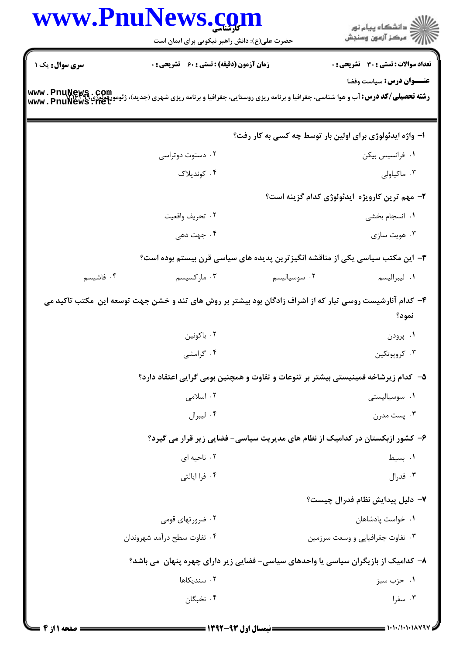| www.Pnul       | حضرت علی(ع): دانش راهبر نیکویی برای ایمان است                                                                                                                                |              | ِ<br>∭ دانشڪاه پيام نور<br>∭ مرڪز آزمون وسنڊش                                |
|----------------|------------------------------------------------------------------------------------------------------------------------------------------------------------------------------|--------------|------------------------------------------------------------------------------|
| سری سوال: یک ۱ | <b>زمان آزمون (دقیقه) : تستی : 60 ٪ تشریحی : 0</b>                                                                                                                           |              | <b>تعداد سوالات : تستي : 30 ٪ تشريحي : 0</b>                                 |
|                | <b>رشته تحصیلی/کد درس: آ</b> ب و هوا شناسی، جغرافیا و برنامه ریزی روستایی، جغرافیا و برنامه ریزی شهری (جدید)، ژئومورفولوژی <b>www . PnuNews , Aet</b><br>www . PnuNews , Net |              | <b>عنـــوان درس:</b> سیاست وفضا                                              |
|                |                                                                                                                                                                              |              | ۱- واژه ایدئولوژی برای اولین بار توسط چه کسی به کار رفت؟                     |
|                | ۰۲ دستوت دوتراسی                                                                                                                                                             |              | ٠١ فرانسيس بيكن                                                              |
|                | ۰۴ کوندیلاک                                                                                                                                                                  |              | ۰۳ ماکیاولی                                                                  |
|                |                                                                                                                                                                              |              | ۲- مهم ترین کارویژه ایدئولوژی کدام گزینه است؟                                |
|                | ٠٢ تحريف واقعيت                                                                                                                                                              |              | ٠١. انسجام بخشى                                                              |
|                | ۰۴ جهت دهی                                                                                                                                                                   |              | ۰۳ هويت سازي                                                                 |
|                | ۳– این مکتب سیاسی یکی از مناقشه انگیزترین پدیده های سیاسی قرن بیستم بوده است؟                                                                                                |              |                                                                              |
| ۰۴ فاشیسم      | ۰۳ مارکسیسم                                                                                                                                                                  | ۰۲ سوسیالیسم | ٠١ ليبراليسم                                                                 |
|                | ۴– کدام آنارشیست روسی تبار که از اشراف زادگان بود بیشتر بر روش های تند و خشن جهت توسعه این  مکتب تاکید می                                                                    |              | نمود؟                                                                        |
|                | ۰۲ باکونین                                                                                                                                                                   |              | ۰۱ پرودن                                                                     |
|                | ۰۴ گرامشی                                                                                                                                                                    |              | ۰۳ کروپوتکين                                                                 |
|                | ۵– کدام زیرشاخه فمینیستی بیشتر بر تنوعات و تفاوت و همچنین بومی گرایی اعتقاد دارد؟                                                                                            |              |                                                                              |
|                | ۰۲ اسلامی                                                                                                                                                                    |              | ۰۱ سوسیالیستی                                                                |
|                | ۰۴ ليبرال                                                                                                                                                                    |              | ۰۳ پست مدرن                                                                  |
|                |                                                                                                                                                                              |              | ۶– کشور ازبکستان در کدامیک از نظام های مدیریت سیاسی- فضایی زیر قرار می گیرد؟ |
|                | ۰۲ ناحیه ای                                                                                                                                                                  |              | ۰۱ بسیط                                                                      |
|                | ۰۴ فرا ایالتی                                                                                                                                                                |              | ۰۳ فدرال                                                                     |
|                |                                                                                                                                                                              |              | ۷– دلیل پیدایش نظام فدرال چیست؟                                              |
|                | ۰۲ ضرورتهای قومی                                                                                                                                                             |              | ٠١ خواست پادشاهان                                                            |
|                | ۰۴ تفاوت سطح درآمد شهروندان                                                                                                                                                  |              | ۰۳ تفاوت جغرافیایی و وسعت سرزمین                                             |
|                | ۸– کدامیک از بازیگران سیاسی یا واحدهای سیاسی- فضایی زیر دارای چهره پنهان  می باشد؟                                                                                           |              |                                                                              |
|                | ٠٢ سنديكاها                                                                                                                                                                  |              | ۰۱ حزب سبز                                                                   |
|                | ۰۴ نخبگان                                                                                                                                                                    |              | ۰۳ سفرا                                                                      |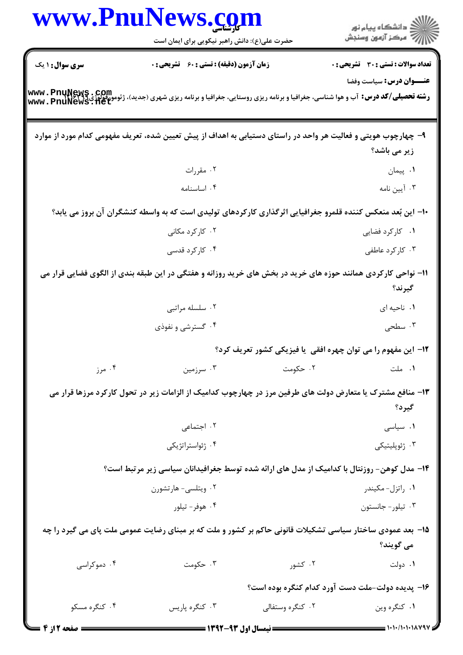| www.PnuNews.com        |                                                                                                                                                                      |                  |                                                                      |
|------------------------|----------------------------------------------------------------------------------------------------------------------------------------------------------------------|------------------|----------------------------------------------------------------------|
|                        | حضرت علی(ع): دانش راهبر نیکویی برای ایمان است                                                                                                                        |                  | انشگاه پيام نور)<br>اسرکز آزمون وسنجش                                |
| <b>سری سوال : ۱ یک</b> | زمان آزمون (دقیقه) : تستی : 60 - تشریحی : 0                                                                                                                          |                  | <b>تعداد سوالات : تستی : 30 ٪ تشریحی : 0</b>                         |
|                        |                                                                                                                                                                      |                  | عنـــوان درس: سیاست وفضا                                             |
|                        | <b>رشته تحصیلی/کد درس:</b> آب و هوا شناسی، جغرافیا و برنامه ریزی روستایی، جغرافیا و برنامه ریزی شهری (جدید)، ژئومورفولوژی www . PnuNews . net<br>www . PnuNews . net |                  |                                                                      |
|                        | ۹– چهارچوب هویتی و فعالیت هر واحد در راستای دستیابی به اهداف از پیش تعیین شده، تعریف مفهومی کدام مورد از موارد                                                       |                  |                                                                      |
|                        |                                                                                                                                                                      |                  | زیر می باشد؟                                                         |
|                        | ۰۲ مقررات                                                                                                                                                            |                  | ۰۱ پیمان                                                             |
|                        | ۰۴ اساسنامه                                                                                                                                                          |                  | ۰۳ آیین نامه                                                         |
|                        | ۱۰– این بُعد منعکس کننده قلمرو جغرافیایی اثرگذاری کارکردهای تولیدی است که به واسطه کنشگران آن بروز می یابد؟                                                          |                  |                                                                      |
|                        | ۰۲ کارکرد مکانی                                                                                                                                                      |                  | ۰۱ کارکرد فضایی                                                      |
|                        | ۰۴ کارکرد قدسی                                                                                                                                                       |                  | ۰۳ کارکرد عاطفی                                                      |
|                        | 11- نواحی کارکردی همانند حوزه های خرید در بخش های خرید روزانه و هفتگی در این طبقه بندی از الگوی فضایی قرار می                                                        |                  | گيرند؟                                                               |
|                        | ۰۲ سلسله مراتبي                                                                                                                                                      |                  | ٠. ناحيه اي                                                          |
|                        | ۰۴ گسترشی و نفوذی                                                                                                                                                    |                  | ۰۳ سطحی                                                              |
|                        |                                                                                                                                                                      |                  | <b>۱۲</b> - این مفهوم را می توان چهره افقی یا فیزیکی کشور تعریف کرد؟ |
| ۰۴ مرز                 |                                                                                                                                                                      |                  | ۰۱ ملت اسرزمین ۲۰ حکومت اسرزمین . ۳۰ سرزمین                          |
|                        | ۱۳- منافع مشترک یا متعارض دولت های طرفین مرز در چهارچوب کدامیک از الزامات زیر در تحول کارکرد مرزها قرار می                                                           |                  |                                                                      |
|                        |                                                                                                                                                                      |                  | گیرد؟                                                                |
|                        | ٠٢ اجتماعي                                                                                                                                                           |                  | ۰۱ سیاسی                                                             |
|                        | ۰۴ ژئواستراتژیکی                                                                                                                                                     |                  | ۰۳ ژئوپلیتیکی                                                        |
|                        | ۱۴– مدل کوهن- روزنتال با کدامیک از مدل های ارائه شده توسط جغرافیدانان سیاسی زیر مرتبط است؟                                                                           |                  |                                                                      |
|                        | ۰۲ ویتلسی- هارتشورن                                                                                                                                                  |                  | ۰۱ راتزل- مکیندر                                                     |
|                        | ۰۴ هوفر- تيلور                                                                                                                                                       |                  | ۰۳ تیلور- جانستون                                                    |
|                        | ۱۵– بعد عمودی ساختار سیاسی تشکیلات قانونی حاکم بر کشور و ملت که بر مبنای رضایت عمومی ملت پای می گیرد را چه                                                           |                  | مي گويند؟                                                            |
| ۰۴ دموکراسی            | ۰۳ حکومت                                                                                                                                                             | ۰۲ کشور          | ۰۱ دولت                                                              |
|                        |                                                                                                                                                                      |                  | ۱۶- پدیده دولت-ملت دست آورد کدام کنگره بوده است؟                     |
| ۰۴ کنگره مسکو          | ۰۳ کنگره پاریس                                                                                                                                                       | ۰۲ کنگره وستفالی | ۰۱ کنگره وين                                                         |
| = صفحه 2 از 4          | = نیمسال اول ۹۳-۱۳۹۲ =                                                                                                                                               |                  |                                                                      |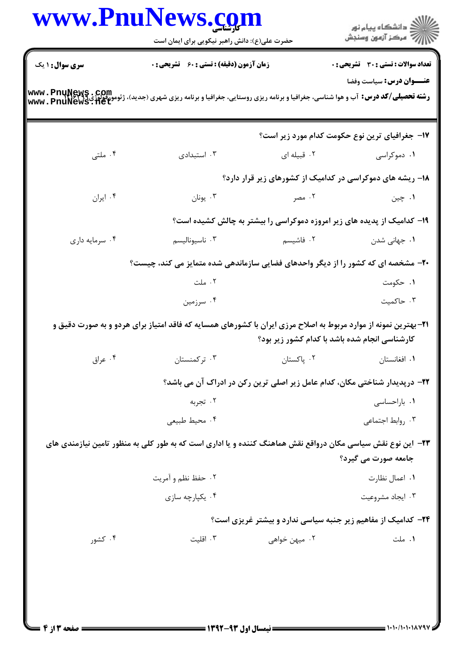|                        |                                                                                                                                                                        | www.PnuNews.com<br>حضرت علی(ع): دانش راهبر نیکویی برای ایمان است |                                                                                    |  |
|------------------------|------------------------------------------------------------------------------------------------------------------------------------------------------------------------|------------------------------------------------------------------|------------------------------------------------------------------------------------|--|
| <b>سری سوال : ۱ یک</b> |                                                                                                                                                                        | زمان آزمون (دقیقه) : تستی : ۶۰٪ تشریحی : ۰                       |                                                                                    |  |
|                        | <b>رشته تحصیلی/کد درس:</b> آب و هوا شناسی، جغرافیا و برنامه ریزی روستایی، جغرافیا و برنامه ریزی شهری (جدید)، ژئومورفولوژی www . PnuNews . 11et<br>www . PnuNews . 11et |                                                                  | <b>عنـــوان درس:</b> سیاست وفضا                                                    |  |
|                        |                                                                                                                                                                        |                                                                  | <b>۱۷- جغرافیای ترین نوع حکومت کدام مورد زیر است؟</b>                              |  |
| ۰۴ ملتی                | ۰۳ استبدادی                                                                                                                                                            |                                                                  | ۰۱ دموکراسی سه ۲۰ قبیله ای                                                         |  |
|                        |                                                                                                                                                                        |                                                                  | ۱۸- ریشه های دموکراسی در کدامیک از کشورهای زیر قرار دارد؟                          |  |
| ۰۴ ایران               | ۰۳ يونان                                                                                                                                                               | ۲. مصر                                                           | ۰۱ چين                                                                             |  |
|                        |                                                                                                                                                                        |                                                                  | ۱۹- کدامیک از پدیده های زیر امروزه دموکراسی را بیشتر به چالش کشیده است؟            |  |
| ۰۴ سرمايه داري         | ۰۳ ناسيوناليسم                                                                                                                                                         | ۰۲ فاشیسم                                                        | ۰۱ جهانی شدن                                                                       |  |
|                        | +۲- مشخصه ای که کشور را از دیگر واحدهای فضایی سازماندهی شده متمایز می کند، چیست؟                                                                                       |                                                                  |                                                                                    |  |
|                        | ۰۲ ملت                                                                                                                                                                 |                                                                  | ۰۱ حکومت                                                                           |  |
|                        | ۰۴ سرزمین                                                                                                                                                              |                                                                  | ۰۳ حاكميت                                                                          |  |
|                        | <b>۲۱</b> - بهترین نمونه از موارد مربوط به اصلاح مرزی ایران با کشورهای همسایه که فاقد امتیاز برای هردو و به صورت دقیق و                                                |                                                                  | کارشناسی انجام شده باشد با کدام کشور زیر بود؟                                      |  |
|                        | ۰۴ ترکمنستان میستان و با این کشور تا به این کشور تا استفاده به این کشور کشور کشور کشور کشور کشور کشو                                                                   |                                                                  | ٠١ افغانستان مستان المستان . ٢                                                     |  |
|                        |                                                                                                                                                                        |                                                                  | <b>۲۲</b> - درپدیدار شناختی مکان، کدام عامل زیر اصلی ترین رکن در ادراک آن می باشد؟ |  |
|                        | ۰۲ تجربه                                                                                                                                                               |                                                                  | ۰۱ باراحساسی                                                                       |  |
|                        | ۰۴ محيط طبيعي                                                                                                                                                          |                                                                  | ۰۳ روابط اجتماعی                                                                   |  |
|                        | ۲۳– این نوع نقش سیاسی مکان درواقع نقش هماهنگ کننده و یا اداری است که به طور کلی به منظور تامین نیازمندی های                                                            |                                                                  | جامعه صورت مي گيرد؟                                                                |  |
|                        | ۰۲ حفظ نظم و آمريت                                                                                                                                                     |                                                                  | ۰۱ اعمال نظارت                                                                     |  |
|                        | ۰۴ يکپارچه سازى                                                                                                                                                        |                                                                  | ۰۳ ایجاد مشروعیت                                                                   |  |
|                        |                                                                                                                                                                        |                                                                  | <b>۳۴</b> - کدامیک از مفاهیم زیر جنبه سیاسی ندارد و بیشتر غریزی است؟               |  |
| ۰۴ کشور                | ۰۳ اقلیت                                                                                                                                                               | ۰۲ میهن خواه <sub>ی</sub>                                        | ۰۱ ملت                                                                             |  |

 $\blacksquare$